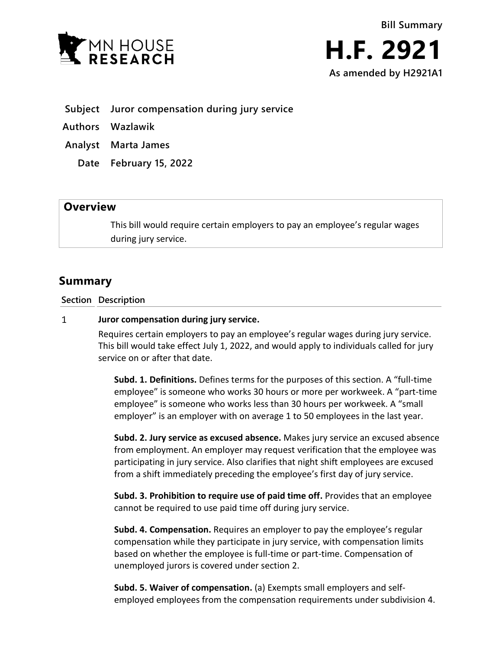

- **Subject Juror compensation during jury service**
- **Authors Wazlawik**
- **Analyst Marta James**
	- **Date February 15, 2022**

## **Overview**

This bill would require certain employers to pay an employee's regular wages during jury service.

# **Summary**

**Section Description**

#### $\mathbf{1}$ **Juror compensation during jury service.**

Requires certain employers to pay an employee's regular wages during jury service. This bill would take effect July 1, 2022, and would apply to individuals called for jury service on or after that date.

**Subd. 1. Definitions.** Defines terms for the purposes of this section. A "full-time employee" is someone who works 30 hours or more per workweek. A "part-time employee" is someone who works less than 30 hours per workweek. A "small employer" is an employer with on average 1 to 50 employees in the last year.

**Subd. 2. Jury service as excused absence.** Makes jury service an excused absence from employment. An employer may request verification that the employee was participating in jury service. Also clarifies that night shift employees are excused from a shift immediately preceding the employee's first day of jury service.

**Subd. 3. Prohibition to require use of paid time off.** Provides that an employee cannot be required to use paid time off during jury service.

**Subd. 4. Compensation.** Requires an employer to pay the employee's regular compensation while they participate in jury service, with compensation limits based on whether the employee is full-time or part-time. Compensation of unemployed jurors is covered under section 2.

**Subd. 5. Waiver of compensation.** (a) Exempts small employers and selfemployed employees from the compensation requirements under subdivision 4.